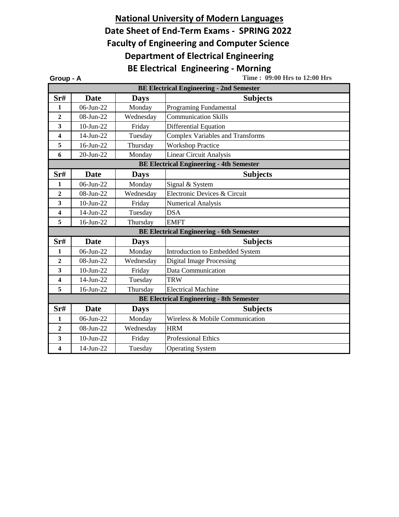## **Date Sheet of End-Term Exams - SPRING 2022 BE Electrical Engineering - Morning National University of Modern Languages Faculty of Engineering and Computer Science Department of Electrical Engineering**

**Group - A Time : 09:00 Hrs to 12:00 Hrs Sr# Date Days Subjects** 1 06-Jun-22 Monday Programing Fundamental 2 08-Jun-22 Wednesday Communication Skills **3** 10-Jun-22 Friday Differential Equation **4** 14-Jun-22 Tuesday Complex Variables and Transforms **5** 16-Jun-22 Thursday Workshop Practice **6** 20-Jun-22 Monday Linear Circuit Analysis **Sr# Date Days Subjects** 1 06-Jun-22 Monday Signal & System 2 08-Jun-22 Wednesday Electronic Devices & Circuit **3** 10-Jun-22 **Friday** Numerical Analysis **4** 14-Jun-22 Tuesday DSA **5** 16-Jun-22 Thursday EMFT **Sr# Date Days Subjects** 1 06-Jun-22 Monday Introduction to Embedded System 2 08-Jun-22 Wednesday Digital Image Processing **3** 10-Jun-22 Friday Data Communication **4** 14-Jun-22 Tuesday TRW **5** 16-Jun-22 Thursday Electrical Machine **Sr# Date Days Subjects** 1 06-Jun-22 Monday Wireless & Mobile Communication **2** 08-Jun-22 Wednesday HRM **3** 10-Jun-22 Friday Professional Ethics **4** 14-Jun-22 Tuesday Operating System **BE Electrical Engineering - 6th Semester BE Electrical Engineering - 8th Semester BE Electrical Engineering - 2nd Semester BE Electrical Engineering - 4th Semester**